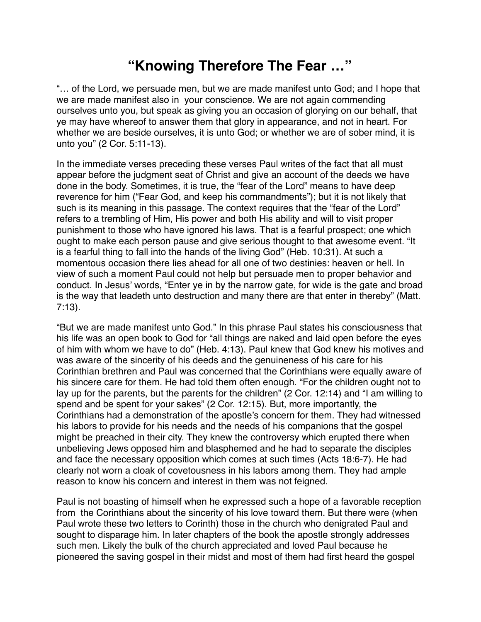## **"Knowing Therefore The Fear …"**

"… of the Lord, we persuade men, but we are made manifest unto God; and I hope that we are made manifest also in your conscience. We are not again commending ourselves unto you, but speak as giving you an occasion of glorying on our behalf, that ye may have whereof to answer them that glory in appearance, and not in heart. For whether we are beside ourselves, it is unto God; or whether we are of sober mind, it is unto you" (2 Cor. 5:11-13).

In the immediate verses preceding these verses Paul writes of the fact that all must appear before the judgment seat of Christ and give an account of the deeds we have done in the body. Sometimes, it is true, the "fear of the Lord" means to have deep reverence for him ("Fear God, and keep his commandments"); but it is not likely that such is its meaning in this passage. The context requires that the "fear of the Lord" refers to a trembling of Him, His power and both His ability and will to visit proper punishment to those who have ignored his laws. That is a fearful prospect; one which ought to make each person pause and give serious thought to that awesome event. "It is a fearful thing to fall into the hands of the living God" (Heb. 10:31). At such a momentous occasion there lies ahead for all one of two destinies: heaven or hell. In view of such a moment Paul could not help but persuade men to proper behavior and conduct. In Jesus' words, "Enter ye in by the narrow gate, for wide is the gate and broad is the way that leadeth unto destruction and many there are that enter in thereby" (Matt. 7:13).

"But we are made manifest unto God." In this phrase Paul states his consciousness that his life was an open book to God for "all things are naked and laid open before the eyes of him with whom we have to do" (Heb. 4:13). Paul knew that God knew his motives and was aware of the sincerity of his deeds and the genuineness of his care for his Corinthian brethren and Paul was concerned that the Corinthians were equally aware of his sincere care for them. He had told them often enough. "For the children ought not to lay up for the parents, but the parents for the children" (2 Cor. 12:14) and "I am willing to spend and be spent for your sakes" (2 Cor. 12:15). But, more importantly, the Corinthians had a demonstration of the apostle's concern for them. They had witnessed his labors to provide for his needs and the needs of his companions that the gospel might be preached in their city. They knew the controversy which erupted there when unbelieving Jews opposed him and blasphemed and he had to separate the disciples and face the necessary opposition which comes at such times (Acts 18:6-7). He had clearly not worn a cloak of covetousness in his labors among them. They had ample reason to know his concern and interest in them was not feigned.

Paul is not boasting of himself when he expressed such a hope of a favorable reception from the Corinthians about the sincerity of his love toward them. But there were (when Paul wrote these two letters to Corinth) those in the church who denigrated Paul and sought to disparage him. In later chapters of the book the apostle strongly addresses such men. Likely the bulk of the church appreciated and loved Paul because he pioneered the saving gospel in their midst and most of them had first heard the gospel